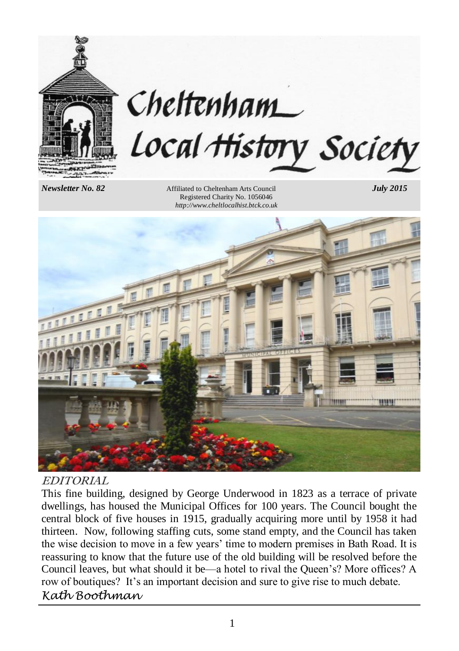

# Cheltenham Local History Society

*Newsletter No. 82* Affiliated to Cheltenham Arts Council *July 2015* Registered Charity No. 1056046 *http://www.cheltlocalhist.btck.co.uk*



#### EDITORIAL

This fine building, designed by George Underwood in 1823 as a terrace of private dwellings, has housed the Municipal Offices for 100 years. The Council bought the central block of five houses in 1915, gradually acquiring more until by 1958 it had thirteen. Now, following staffing cuts, some stand empty, and the Council has taken the wise decision to move in a few years' time to modern premises in Bath Road. It is reassuring to know that the future use of the old building will be resolved before the Council leaves, but what should it be—a hotel to rival the Queen's? More offices? A row of boutiques? It's an important decision and sure to give rise to much debate. *Kath Boothman*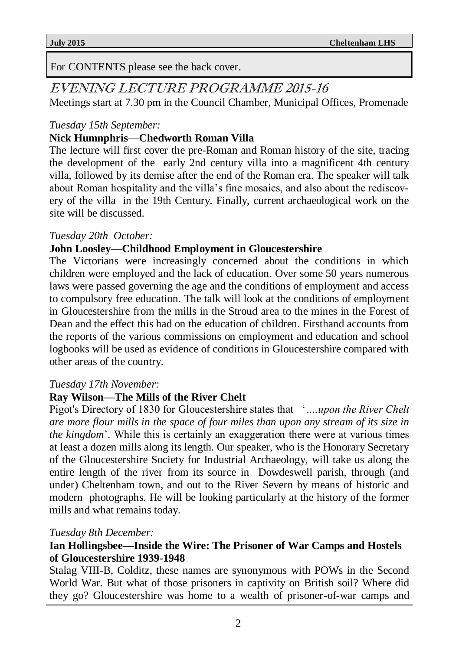For CONTENTS please see the back cover.

### EVENING LECTURE PROGRAMME 2015-16

Meetings start at 7.30 pm in the Council Chamber, Municipal Offices, Promenade

#### *Tuesday 15th September:*

#### **Nick Humnphris—Chedworth Roman Villa**

The lecture will first cover the pre-Roman and Roman history of the site, tracing the development of the early 2nd century villa into a magnificent 4th century villa, followed by its demise after the end of the Roman era. The speaker will talk about Roman hospitality and the villa's fine mosaics, and also about the rediscovery of the villa in the 19th Century. Finally, current archaeological work on the site will be discussed.

#### *Tuesday 20th October:*

#### **John Loosley—Childhood Employment in Gloucestershire**

The Victorians were increasingly concerned about the conditions in which children were employed and the lack of education. Over some 50 years numerous laws were passed governing the age and the conditions of employment and access to compulsory free education. The talk will look at the conditions of employment in Gloucestershire from the mills in the Stroud area to the mines in the Forest of Dean and the effect this had on the education of children. Firsthand accounts from the reports of the various commissions on employment and education and school logbooks will be used as evidence of conditions in Gloucestershire compared with other areas of the country.

#### *Tuesday 17th November:*

#### **Ray Wilson—The Mills of the River Chelt**

Pigot's Directory of 1830 for Gloucestershire states that '*….upon the River Chelt are more flour mills in the space of four miles than upon any stream of its size in the kingdom*'. While this is certainly an exaggeration there were at various times at least a dozen mills along its length. Our speaker, who is the Honorary Secretary of the Gloucestershire Society for Industrial Archaeology, will take us along the entire length of the river from its source in Dowdeswell parish, through (and under) Cheltenham town, and out to the River Severn by means of historic and modern photographs. He will be looking particularly at the history of the former mills and what remains today.

#### *Tuesday 8th December:*

#### **Ian Hollingsbee—Inside the Wire: The Prisoner of War Camps and Hostels of Gloucestershire 1939-1948**

Stalag VIII-B, Colditz, these names are synonymous with POWs in the Second World War. But what of those prisoners in captivity on British soil? Where did they go? Gloucestershire was home to a wealth of prisoner-of-war camps and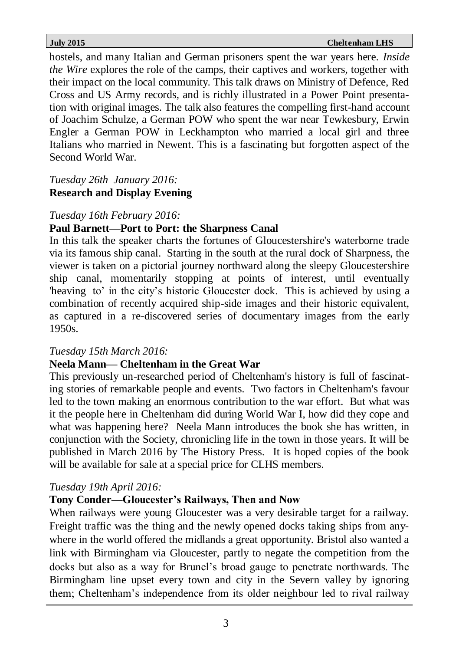hostels, and many Italian and German prisoners spent the war years here. *Inside the Wire* explores the role of the camps, their captives and workers, together with their impact on the local community. This talk draws on Ministry of Defence, Red Cross and US Army records, and is richly illustrated in a Power Point presentation with original images. The talk also features the compelling first-hand account of Joachim Schulze, a German POW who spent the war near Tewkesbury, Erwin Engler a German POW in Leckhampton who married a local girl and three Italians who married in Newent. This is a fascinating but forgotten aspect of the Second World War.

#### *Tuesday 26th January 2016:* **Research and Display Evening**

#### *Tuesday 16th February 2016:*

#### **Paul Barnett—Port to Port: the Sharpness Canal**

In this talk the speaker charts the fortunes of Gloucestershire's waterborne trade via its famous ship canal. Starting in the south at the rural dock of Sharpness, the viewer is taken on a pictorial journey northward along the sleepy Gloucestershire ship canal, momentarily stopping at points of interest, until eventually 'heaving to' in the city's historic Gloucester dock. This is achieved by using a combination of recently acquired ship-side images and their historic equivalent, as captured in a re-discovered series of documentary images from the early 1950s.

#### *Tuesday 15th March 2016:*

#### **Neela Mann— Cheltenham in the Great War**

This previously un-researched period of Cheltenham's history is full of fascinating stories of remarkable people and events. Two factors in Cheltenham's favour led to the town making an enormous contribution to the war effort. But what was it the people here in Cheltenham did during World War I, how did they cope and what was happening here? Neela Mann introduces the book she has written, in conjunction with the Society, chronicling life in the town in those years. It will be published in March 2016 by The History Press. It is hoped copies of the book will be available for sale at a special price for CLHS members.

#### *Tuesday 19th April 2016:*

#### **Tony Conder—Gloucester's Railways, Then and Now**

When railways were young Gloucester was a very desirable target for a railway. Freight traffic was the thing and the newly opened docks taking ships from anywhere in the world offered the midlands a great opportunity. Bristol also wanted a link with Birmingham via Gloucester, partly to negate the competition from the docks but also as a way for Brunel's broad gauge to penetrate northwards. The Birmingham line upset every town and city in the Severn valley by ignoring them; Cheltenham's independence from its older neighbour led to rival railway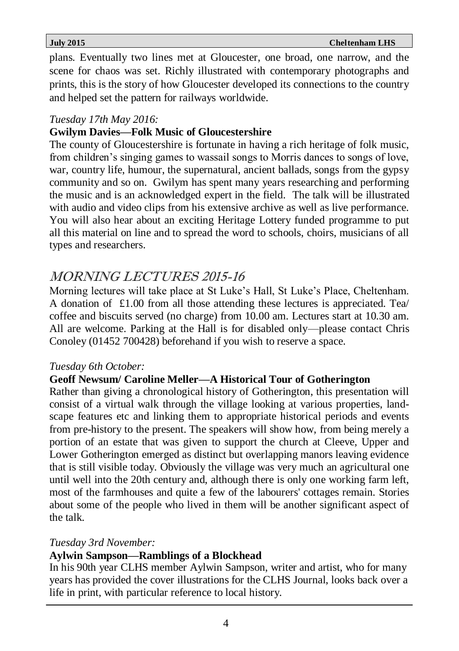plans. Eventually two lines met at Gloucester, one broad, one narrow, and the scene for chaos was set. Richly illustrated with contemporary photographs and prints, this is the story of how Gloucester developed its connections to the country and helped set the pattern for railways worldwide.

#### *Tuesday 17th May 2016:*

#### **Gwilym Davies—Folk Music of Gloucestershire**

The county of Gloucestershire is fortunate in having a rich heritage of folk music, from children's singing games to wassail songs to Morris dances to songs of love, war, country life, humour, the supernatural, ancient ballads, songs from the gypsy community and so on. Gwilym has spent many years researching and performing the music and is an acknowledged expert in the field. The talk will be illustrated with audio and video clips from his extensive archive as well as live performance. You will also hear about an exciting Heritage Lottery funded programme to put all this material on line and to spread the word to schools, choirs, musicians of all types and researchers.

### MORNING LECTURES 2015-16

Morning lectures will take place at St Luke's Hall, St Luke's Place, Cheltenham. A donation of  $\text{\pounds}1.00$  from all those attending these lectures is appreciated. Tea/ coffee and biscuits served (no charge) from 10.00 am. Lectures start at 10.30 am. All are welcome. Parking at the Hall is for disabled only—please contact Chris Conoley (01452 700428) beforehand if you wish to reserve a space.

#### *Tuesday 6th October:*

#### **Geoff Newsum/ Caroline Meller—A Historical Tour of Gotherington**

Rather than giving a chronological history of Gotherington, this presentation will consist of a virtual walk through the village looking at various properties, landscape features etc and linking them to appropriate historical periods and events from pre-history to the present. The speakers will show how, from being merely a portion of an estate that was given to support the church at Cleeve, Upper and Lower Gotherington emerged as distinct but overlapping manors leaving evidence that is still visible today. Obviously the village was very much an agricultural one until well into the 20th century and, although there is only one working farm left, most of the farmhouses and quite a few of the labourers' cottages remain. Stories about some of the people who lived in them will be another significant aspect of the talk.

#### *Tuesday 3rd November:*

#### **Aylwin Sampson—Ramblings of a Blockhead**

In his 90th year CLHS member Aylwin Sampson, writer and artist, who for many years has provided the cover illustrations for the CLHS Journal, looks back over a life in print, with particular reference to local history.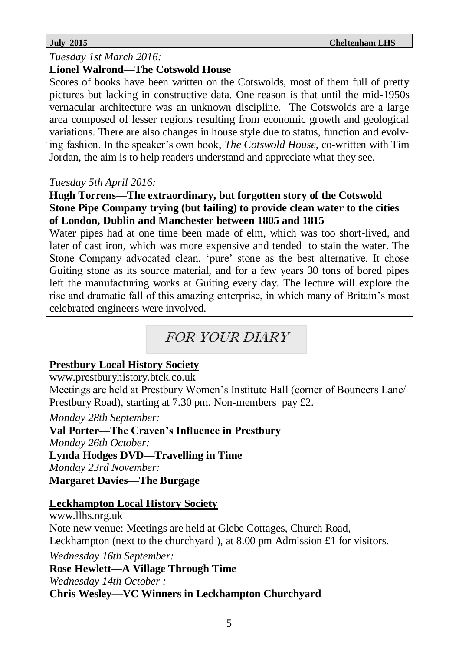#### *Tuesday 1st March 2016:*

#### **Lionel Walrond—The Cotswold House**

Scores of books have been written on the Cotswolds, most of them full of pretty pictures but lacking in constructive data. One reason is that until the mid-1950s vernacular architecture was an unknown discipline. The Cotswolds are a large area composed of lesser regions resulting from economic growth and geological variations. There are also changes in house style due to status, function and evolving fashion. In the speaker's own book, *The Cotswold House,* co-written with Tim Jordan, the aim is to help readers understand and appreciate what they see.

#### *Tuesday 5th April 2016:*

#### **Hugh Torrens—The extraordinary, but forgotten story of the Cotswold Stone Pipe Company trying (but failing) to provide clean water to the cities of London, Dublin and Manchester between 1805 and 1815**

Water pipes had at one time been made of elm, which was too short-lived, and later of cast iron, which was more expensive and tended to stain the water. The Stone Company advocated clean, 'pure' stone as the best alternative. It chose Guiting stone as its source material, and for a few years 30 tons of bored pipes left the manufacturing works at Guiting every day. The lecture will explore the rise and dramatic fall of this amazing enterprise, in which many of Britain's most celebrated engineers were involved.

### FOR YOUR DIARY

#### **Prestbury Local History Society**

#### www.prestburyhistory.btck.co.uk

Meetings are held at Prestbury Women's Institute Hall (corner of Bouncers Lane/ Prestbury Road), starting at 7.30 pm. Non-members pay £2.

*Monday 28th September:* **Val Porter—The Craven's Influence in Prestbury** *Monday 26th October:* **Lynda Hodges DVD—Travelling in Time** *Monday 23rd November:*

**Margaret Davies—The Burgage**

#### **Leckhampton Local History Society**

www.llhs.org.uk Note new venue: Meetings are held at Glebe Cottages, Church Road, Leckhampton (next to the churchyard ), at 8.00 pm Admission £1 for visitors. *Wednesday 16th September:* **Rose Hewlett—A Village Through Time** *Wednesday 14th October :* **Chris Wesley—VC Winners in Leckhampton Churchyard**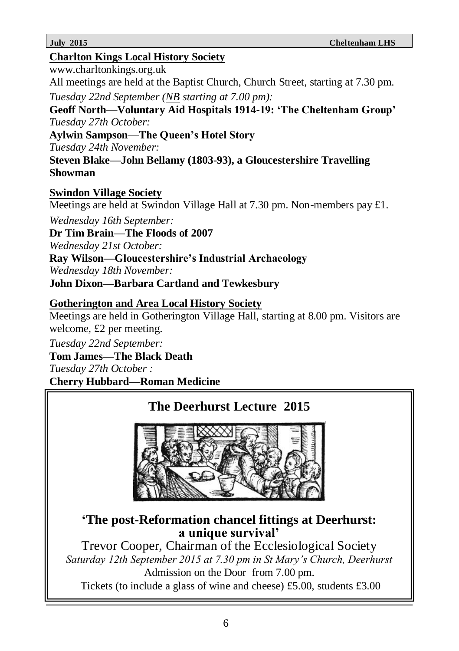#### **Charlton Kings Local History Society**

www.charltonkings.org.uk

All meetings are held at the Baptist Church, Church Street, starting at 7.30 pm.

*Tuesday 22nd September (NB starting at 7.00 pm):*

**Geoff North—Voluntary Aid Hospitals 1914-19: 'The Cheltenham Group'** *Tuesday 27th October:*

**Aylwin Sampson—The Queen's Hotel Story**

*Tuesday 24th November:*

**Steven Blake—John Bellamy (1803-93), a Gloucestershire Travelling Showman**

#### **Swindon Village Society**

Meetings are held at Swindon Village Hall at 7.30 pm. Non-members pay £1. *Wednesday 16th September:*

**Dr Tim Brain—The Floods of 2007**

*Wednesday 21st October:*

**Ray Wilson—Gloucestershire's Industrial Archaeology**

*Wednesday 18th November:*

**John Dixon—Barbara Cartland and Tewkesbury**

#### **Gotherington and Area Local History Society**

Meetings are held in Gotherington Village Hall, starting at 8.00 pm. Visitors are welcome, £2 per meeting.

*Tuesday 22nd September:*

**Tom James—The Black Death** *Tuesday 27th October :*

**Cherry Hubbard—Roman Medicine**

### **The Deerhurst Lecture 2015**



### **'The post-Reformation chancel fittings at Deerhurst: a unique survival'**

Trevor Cooper, Chairman of the Ecclesiological Society *Saturday 12th September 2015 at 7.30 pm in St Mary's Church, Deerhurst* Admission on the Door from 7.00 pm. Tickets (to include a glass of wine and cheese) £5.00, students £3.00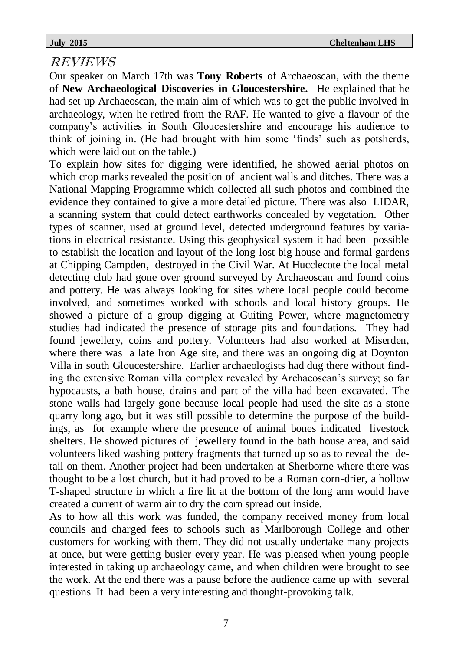### REVIEWS

Our speaker on March 17th was **Tony Roberts** of Archaeoscan, with the theme of **New Archaeological Discoveries in Gloucestershire.** He explained that he had set up Archaeoscan, the main aim of which was to get the public involved in archaeology, when he retired from the RAF. He wanted to give a flavour of the company's activities in South Gloucestershire and encourage his audience to think of joining in. (He had brought with him some 'finds' such as potsherds, which were laid out on the table.)

To explain how sites for digging were identified, he showed aerial photos on which crop marks revealed the position of ancient walls and ditches. There was a National Mapping Programme which collected all such photos and combined the evidence they contained to give a more detailed picture. There was also LIDAR, a scanning system that could detect earthworks concealed by vegetation. Other types of scanner, used at ground level, detected underground features by variations in electrical resistance. Using this geophysical system it had been possible to establish the location and layout of the long-lost big house and formal gardens at Chipping Campden, destroyed in the Civil War. At Hucclecote the local metal detecting club had gone over ground surveyed by Archaeoscan and found coins and pottery. He was always looking for sites where local people could become involved, and sometimes worked with schools and local history groups. He showed a picture of a group digging at Guiting Power, where magnetometry studies had indicated the presence of storage pits and foundations. They had found jewellery, coins and pottery. Volunteers had also worked at Miserden, where there was a late Iron Age site, and there was an ongoing dig at Doynton Villa in south Gloucestershire. Earlier archaeologists had dug there without finding the extensive Roman villa complex revealed by Archaeoscan's survey; so far hypocausts, a bath house, drains and part of the villa had been excavated. The stone walls had largely gone because local people had used the site as a stone quarry long ago, but it was still possible to determine the purpose of the buildings, as for example where the presence of animal bones indicated livestock shelters. He showed pictures of jewellery found in the bath house area, and said volunteers liked washing pottery fragments that turned up so as to reveal the detail on them. Another project had been undertaken at Sherborne where there was thought to be a lost church, but it had proved to be a Roman corn-drier, a hollow T-shaped structure in which a fire lit at the bottom of the long arm would have created a current of warm air to dry the corn spread out inside.

As to how all this work was funded, the company received money from local councils and charged fees to schools such as Marlborough College and other customers for working with them. They did not usually undertake many projects at once, but were getting busier every year. He was pleased when young people interested in taking up archaeology came, and when children were brought to see the work. At the end there was a pause before the audience came up with several questions It had been a very interesting and thought-provoking talk.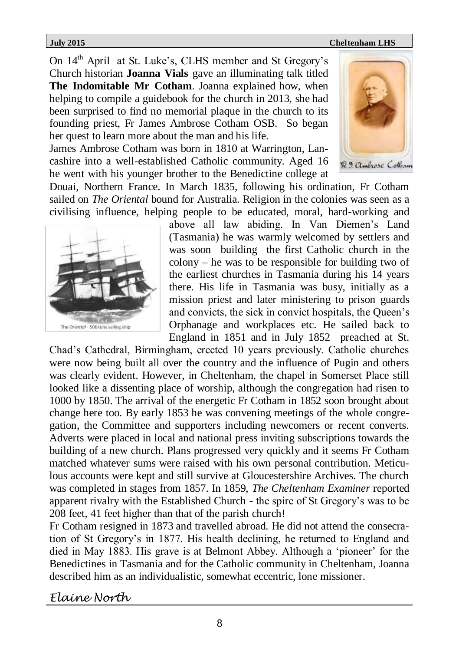On 14th April at St. Luke's, CLHS member and St Gregory's Church historian **Joanna Vials** gave an illuminating talk titled **The Indomitable Mr Cotham**. Joanna explained how, when helping to compile a guidebook for the church in 2013, she had been surprised to find no memorial plaque in the church to its founding priest, Fr James Ambrose Cotham OSB. So began her quest to learn more about the man and his life.

James Ambrose Cotham was born in 1810 at Warrington, Lancashire into a well-established Catholic community. Aged 16 he went with his younger brother to the Benedictine college at



Douai, Northern France. In March 1835, following his ordination, Fr Cotham sailed on *The Oriental* bound for Australia. Religion in the colonies was seen as a civilising influence, helping people to be educated, moral, hard-working and



above all law abiding. In Van Diemen's Land (Tasmania) he was warmly welcomed by settlers and was soon building the first Catholic church in the colony – he was to be responsible for building two of the earliest churches in Tasmania during his 14 years there. His life in Tasmania was busy, initially as a mission priest and later ministering to prison guards and convicts, the sick in convict hospitals, the Queen's Orphanage and workplaces etc. He sailed back to England in 1851 and in July 1852 preached at St.

Chad's Cathedral, Birmingham, erected 10 years previously. Catholic churches were now being built all over the country and the influence of Pugin and others was clearly evident. However, in Cheltenham, the chapel in Somerset Place still looked like a dissenting place of worship, although the congregation had risen to 1000 by 1850. The arrival of the energetic Fr Cotham in 1852 soon brought about change here too. By early 1853 he was convening meetings of the whole congregation, the Committee and supporters including newcomers or recent converts. Adverts were placed in local and national press inviting subscriptions towards the building of a new church. Plans progressed very quickly and it seems Fr Cotham matched whatever sums were raised with his own personal contribution. Meticulous accounts were kept and still survive at Gloucestershire Archives. The church was completed in stages from 1857. In 1859, *The Cheltenham Examiner* reported apparent rivalry with the Established Church - the spire of St Gregory's was to be 208 feet, 41 feet higher than that of the parish church!

Fr Cotham resigned in 1873 and travelled abroad. He did not attend the consecration of St Gregory's in 1877. His health declining, he returned to England and died in May 1883. His grave is at Belmont Abbey. Although a 'pioneer' for the Benedictines in Tasmania and for the Catholic community in Cheltenham, Joanna described him as an individualistic, somewhat eccentric, lone missioner.

#### *Elaine North*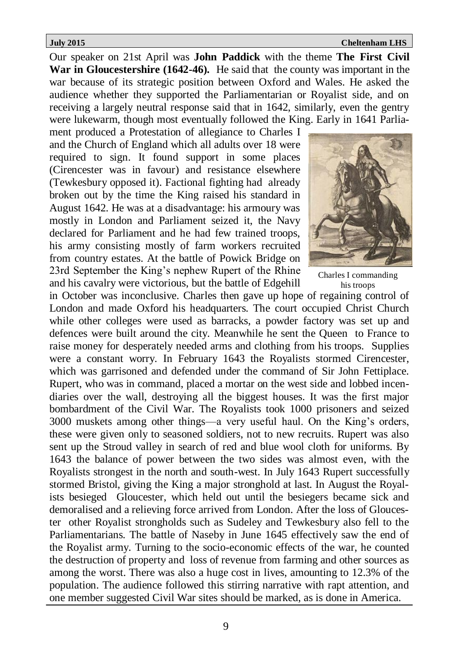Our speaker on 21st April was **John Paddick** with the theme **The First Civil War in Gloucestershire (1642-46).** He said that the county was important in the war because of its strategic position between Oxford and Wales. He asked the audience whether they supported the Parliamentarian or Royalist side, and on receiving a largely neutral response said that in 1642, similarly, even the gentry were lukewarm, though most eventually followed the King. Early in 1641 Parlia-

ment produced a Protestation of allegiance to Charles I and the Church of England which all adults over 18 were required to sign. It found support in some places (Cirencester was in favour) and resistance elsewhere (Tewkesbury opposed it). Factional fighting had already broken out by the time the King raised his standard in August 1642. He was at a disadvantage: his armoury was mostly in London and Parliament seized it, the Navy declared for Parliament and he had few trained troops, his army consisting mostly of farm workers recruited from country estates. At the battle of Powick Bridge on 23rd September the King's nephew Rupert of the Rhine and his cavalry were victorious, but the battle of Edgehill



Charles I commanding his troops

in October was inconclusive. Charles then gave up hope of regaining control of London and made Oxford his headquarters. The court occupied Christ Church while other colleges were used as barracks, a powder factory was set up and defences were built around the city. Meanwhile he sent the Queen to France to raise money for desperately needed arms and clothing from his troops. Supplies were a constant worry. In February 1643 the Royalists stormed Cirencester, which was garrisoned and defended under the command of Sir John Fettiplace. Rupert, who was in command, placed a mortar on the west side and lobbed incendiaries over the wall, destroying all the biggest houses. It was the first major bombardment of the Civil War. The Royalists took 1000 prisoners and seized 3000 muskets among other things—a very useful haul. On the King's orders, these were given only to seasoned soldiers, not to new recruits. Rupert was also sent up the Stroud valley in search of red and blue wool cloth for uniforms. By 1643 the balance of power between the two sides was almost even, with the Royalists strongest in the north and south-west. In July 1643 Rupert successfully stormed Bristol, giving the King a major stronghold at last. In August the Royalists besieged Gloucester, which held out until the besiegers became sick and demoralised and a relieving force arrived from London. After the loss of Gloucester other Royalist strongholds such as Sudeley and Tewkesbury also fell to the Parliamentarians. The battle of Naseby in June 1645 effectively saw the end of the Royalist army. Turning to the socio-economic effects of the war, he counted the destruction of property and loss of revenue from farming and other sources as among the worst. There was also a huge cost in lives, amounting to 12.3% of the population. The audience followed this stirring narrative with rapt attention, and one member suggested Civil War sites should be marked, as is done in America.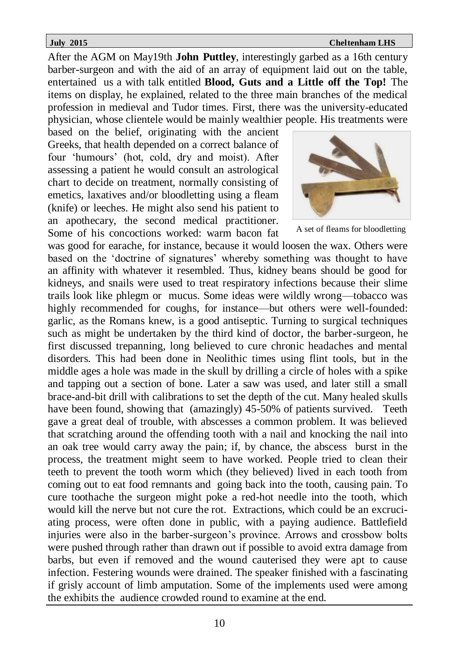After the AGM on May19th **John Puttley**, interestingly garbed as a 16th century barber-surgeon and with the aid of an array of equipment laid out on the table, entertained us a with talk entitled **Blood, Guts and a Little off the Top!** The items on display, he explained, related to the three main branches of the medical profession in medieval and Tudor times. First, there was the university-educated physician, whose clientele would be mainly wealthier people. His treatments were

based on the belief, originating with the ancient Greeks, that health depended on a correct balance of four 'humours' (hot, cold, dry and moist). After assessing a patient he would consult an astrological chart to decide on treatment, normally consisting of emetics, laxatives and/or bloodletting using a fleam (knife) or leeches. He might also send his patient to an apothecary, the second medical practitioner. Some of his concoctions worked: warm bacon fat



A set of fleams for bloodletting

was good for earache, for instance, because it would loosen the wax. Others were based on the 'doctrine of signatures' whereby something was thought to have an affinity with whatever it resembled. Thus, kidney beans should be good for kidneys, and snails were used to treat respiratory infections because their slime trails look like phlegm or mucus. Some ideas were wildly wrong—tobacco was highly recommended for coughs, for instance—but others were well-founded: garlic, as the Romans knew, is a good antiseptic. Turning to surgical techniques such as might be undertaken by the third kind of doctor, the barber-surgeon, he first discussed trepanning, long believed to cure chronic headaches and mental disorders. This had been done in Neolithic times using flint tools, but in the middle ages a hole was made in the skull by drilling a circle of holes with a spike and tapping out a section of bone. Later a saw was used, and later still a small brace-and-bit drill with calibrations to set the depth of the cut. Many healed skulls have been found, showing that (amazingly) 45-50% of patients survived. Teeth gave a great deal of trouble, with abscesses a common problem. It was believed that scratching around the offending tooth with a nail and knocking the nail into an oak tree would carry away the pain; if, by chance, the abscess burst in the process, the treatment might seem to have worked. People tried to clean their teeth to prevent the tooth worm which (they believed) lived in each tooth from coming out to eat food remnants and going back into the tooth, causing pain. To cure toothache the surgeon might poke a red-hot needle into the tooth, which would kill the nerve but not cure the rot. Extractions, which could be an excruciating process, were often done in public, with a paying audience. Battlefield injuries were also in the barber-surgeon's province. Arrows and crossbow bolts were pushed through rather than drawn out if possible to avoid extra damage from barbs, but even if removed and the wound cauterised they were apt to cause infection. Festering wounds were drained. The speaker finished with a fascinating if grisly account of limb amputation. Some of the implements used were among the exhibits the audience crowded round to examine at the end.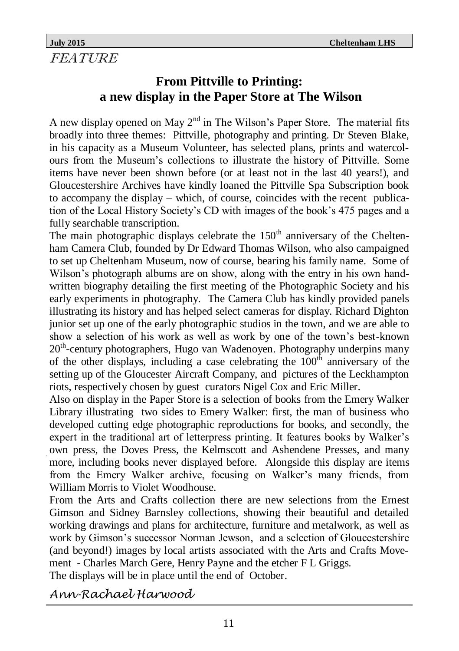FEATURE

### **From Pittville to Printing: a new display in the Paper Store at The Wilson**

A new display opened on May  $2<sup>nd</sup>$  in The Wilson's Paper Store. The material fits broadly into three themes: Pittville, photography and printing. Dr Steven Blake, in his capacity as a Museum Volunteer, has selected plans, prints and watercolours from the Museum's collections to illustrate the history of Pittville. Some items have never been shown before (or at least not in the last 40 years!), and Gloucestershire Archives have kindly loaned the Pittville Spa Subscription book to accompany the display – which, of course, coincides with the recent publication of the Local History Society's CD with images of the book's 475 pages and a fully searchable transcription.

The main photographic displays celebrate the  $150<sup>th</sup>$  anniversary of the Cheltenham Camera Club, founded by Dr Edward Thomas Wilson, who also campaigned to set up Cheltenham Museum, now of course, bearing his family name. Some of Wilson's photograph albums are on show, along with the entry in his own handwritten biography detailing the first meeting of the Photographic Society and his early experiments in photography. The Camera Club has kindly provided panels illustrating its history and has helped select cameras for display. Richard Dighton junior set up one of the early photographic studios in the town, and we are able to show a selection of his work as well as work by one of the town's best-known 20<sup>th</sup>-century photographers, Hugo van Wadenoyen. Photography underpins many of the other displays, including a case celebrating the  $100<sup>th</sup>$  anniversary of the setting up of the Gloucester Aircraft Company, and pictures of the Leckhampton riots, respectively chosen by guest curators Nigel Cox and Eric Miller.

Also on display in the Paper Store is a selection of books from the Emery Walker Library illustrating two sides to Emery Walker: first, the man of business who developed cutting edge photographic reproductions for books, and secondly, the expert in the traditional art of letterpress printing. It features books by Walker's own press, the Doves Press, the Kelmscott and Ashendene Presses, and many more, including books never displayed before. Alongside this display are items from the Emery Walker archive, focusing on Walker's many friends, from William Morris to Violet Woodhouse.

From the Arts and Crafts collection there are new selections from the Ernest Gimson and Sidney Barnsley collections, showing their beautiful and detailed working drawings and plans for architecture, furniture and metalwork, as well as work by Gimson's successor Norman Jewson, and a selection of Gloucestershire (and beyond!) images by local artists associated with the Arts and Crafts Movement - Charles March Gere, Henry Payne and the etcher F L Griggs. The displays will be in place until the end of October.

*Ann-Rachael Harwood*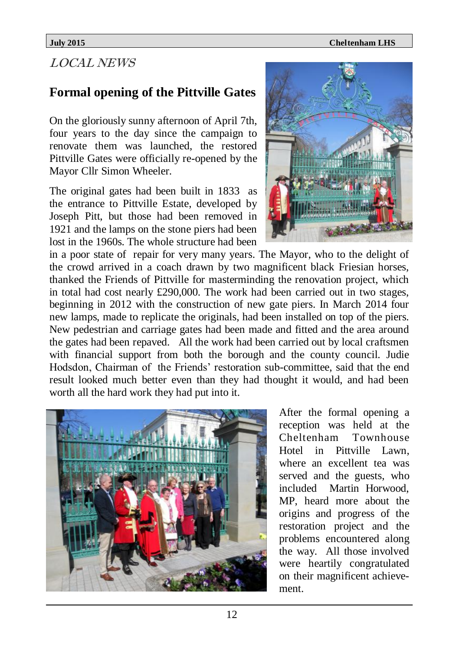### LOCAL NEWS

### **Formal opening of the Pittville Gates**

On the gloriously sunny afternoon of April 7th, four years to the day since the campaign to renovate them was launched, the restored Pittville Gates were officially re-opened by the Mayor Cllr Simon Wheeler.

The original gates had been built in 1833 as the entrance to Pittville Estate, developed by Joseph Pitt, but those had been removed in 1921 and the lamps on the stone piers had been lost in the 1960s. The whole structure had been



in a poor state of repair for very many years. The Mayor, who to the delight of the crowd arrived in a coach drawn by two magnificent black Friesian horses, thanked the Friends of Pittville for masterminding the renovation project, which in total had cost nearly £290,000. The work had been carried out in two stages, beginning in 2012 with the construction of new gate piers. In March 2014 four new lamps, made to replicate the originals, had been installed on top of the piers. New pedestrian and carriage gates had been made and fitted and the area around the gates had been repaved. All the work had been carried out by local craftsmen with financial support from both the borough and the county council. Judie Hodsdon, Chairman of the Friends' restoration sub-committee, said that the end result looked much better even than they had thought it would, and had been worth all the hard work they had put into it.



After the formal opening a reception was held at the Cheltenham Townhouse Hotel in Pittville Lawn, where an excellent tea was served and the guests, who included Martin Horwood, MP, heard more about the origins and progress of the restoration project and the problems encountered along the way. All those involved were heartily congratulated on their magnificent achievement.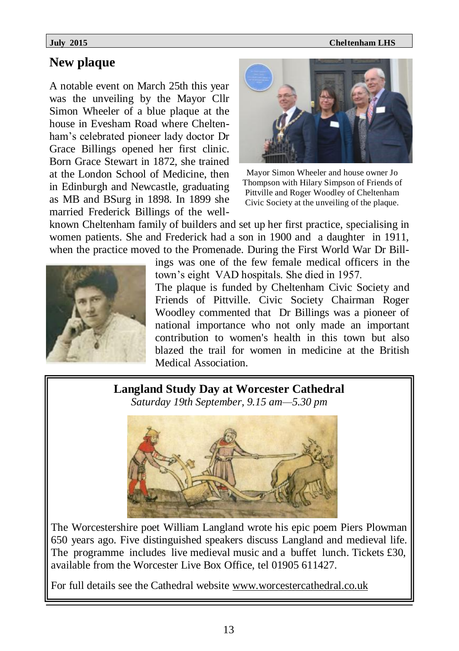#### **New plaque**

A notable event on March 25th this year was the unveiling by the Mayor Cllr Simon Wheeler of a blue plaque at the house in Evesham Road where Cheltenham's celebrated pioneer lady doctor Dr Grace Billings opened her first clinic. Born Grace Stewart in 1872, she trained at the London School of Medicine, then in Edinburgh and Newcastle, graduating as MB and BSurg in 1898. In 1899 she married Frederick Billings of the well-



Mayor Simon Wheeler and house owner Jo Thompson with Hilary Simpson of Friends of Pittville and Roger Woodley of Cheltenham Civic Society at the unveiling of the plaque.

known Cheltenham family of builders and set up her first practice, specialising in women patients. She and Frederick had a son in 1900 and a daughter in 1911, when the practice moved to the Promenade. During the First World War Dr Bill-



ings was one of the few female medical officers in the town's eight VAD hospitals. She died in 1957.

The plaque is funded by Cheltenham Civic Society and Friends of Pittville. Civic Society Chairman Roger Woodley commented that Dr Billings was a pioneer of national importance who not only made an important contribution to women's health in this town but also blazed the trail for women in medicine at the British Medical Association.

#### **Langland Study Day at Worcester Cathedral**

*Saturday 19th September, 9.15 am—5.30 pm*



The Worcestershire poet William Langland wrote his epic poem Piers Plowman 650 years ago. Five distinguished speakers discuss Langland and medieval life. The programme includes live medieval music and a buffet lunch. Tickets £30, available from the Worcester Live Box Office, tel 01905 611427.

For full details see the Cathedral website www.worcestercathedral.co.uk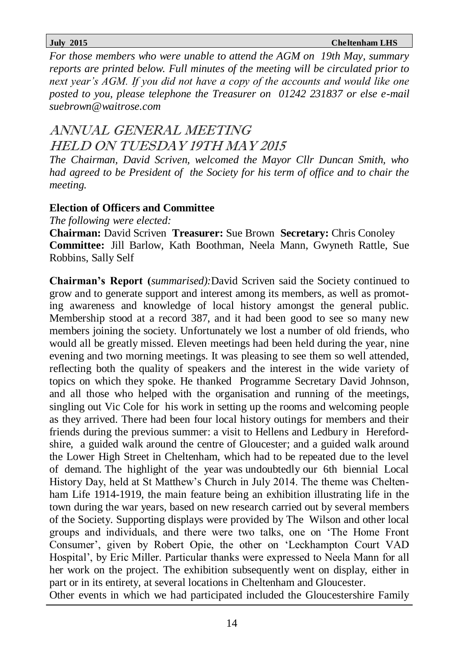*For those members who were unable to attend the AGM on 19th May, summary reports are printed below. Full minutes of the meeting will be circulated prior to next year's AGM. If you did not have a copy of the accounts and would like one posted to you, please telephone the Treasurer on 01242 231837 or else e-mail suebrown@waitrose.com*

### ANNUAL GENERAL MEETING HELD ON TUESDAY 19TH MAY 2015

*The Chairman, David Scriven, welcomed the Mayor Cllr Duncan Smith, who had agreed to be President of the Society for his term of office and to chair the meeting.*

#### **Election of Officers and Committee**

*The following were elected:*

**Chairman:** David Scriven **Treasurer:** Sue Brown **Secretary:** Chris Conoley **Committee:** Jill Barlow, Kath Boothman, Neela Mann, Gwyneth Rattle, Sue Robbins, Sally Self

**Chairman's Report (***summarised):*David Scriven said the Society continued to grow and to generate support and interest among its members, as well as promoting awareness and knowledge of local history amongst the general public. Membership stood at a record 387, and it had been good to see so many new members joining the society. Unfortunately we lost a number of old friends, who would all be greatly missed. Eleven meetings had been held during the year, nine evening and two morning meetings. It was pleasing to see them so well attended, reflecting both the quality of speakers and the interest in the wide variety of topics on which they spoke. He thanked Programme Secretary David Johnson, and all those who helped with the organisation and running of the meetings, singling out Vic Cole for his work in setting up the rooms and welcoming people as they arrived. There had been four local history outings for members and their friends during the previous summer: a visit to Hellens and Ledbury in Herefordshire, a guided walk around the centre of Gloucester; and a guided walk around the Lower High Street in Cheltenham, which had to be repeated due to the level of demand. The highlight of the year was undoubtedly our 6th biennial Local History Day, held at St Matthew's Church in July 2014. The theme was Cheltenham Life 1914-1919, the main feature being an exhibition illustrating life in the town during the war years, based on new research carried out by several members of the Society. Supporting displays were provided by The Wilson and other local groups and individuals, and there were two talks, one on 'The Home Front Consumer', given by Robert Opie, the other on 'Leckhampton Court VAD Hospital', by Eric Miller. Particular thanks were expressed to Neela Mann for all her work on the project. The exhibition subsequently went on display, either in part or in its entirety, at several locations in Cheltenham and Gloucester. Other events in which we had participated included the Gloucestershire Family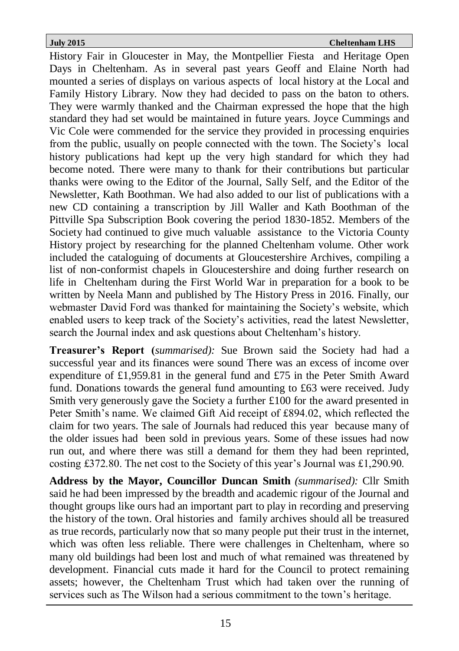History Fair in Gloucester in May, the Montpellier Fiesta and Heritage Open Days in Cheltenham. As in several past years Geoff and Elaine North had mounted a series of displays on various aspects of local history at the Local and Family History Library. Now they had decided to pass on the baton to others. They were warmly thanked and the Chairman expressed the hope that the high standard they had set would be maintained in future years. Joyce Cummings and Vic Cole were commended for the service they provided in processing enquiries from the public, usually on people connected with the town. The Society's local history publications had kept up the very high standard for which they had become noted. There were many to thank for their contributions but particular thanks were owing to the Editor of the Journal, Sally Self, and the Editor of the Newsletter, Kath Boothman. We had also added to our list of publications with a new CD containing a transcription by Jill Waller and Kath Boothman of the Pittville Spa Subscription Book covering the period 1830-1852. Members of the Society had continued to give much valuable assistance to the Victoria County History project by researching for the planned Cheltenham volume. Other work included the cataloguing of documents at Gloucestershire Archives, compiling a list of non-conformist chapels in Gloucestershire and doing further research on life in Cheltenham during the First World War in preparation for a book to be written by Neela Mann and published by The History Press in 2016. Finally, our webmaster David Ford was thanked for maintaining the Society's website, which enabled users to keep track of the Society's activities, read the latest Newsletter, search the Journal index and ask questions about Cheltenham's history.

**Treasurer's Report (***summarised):* Sue Brown said the Society had had a successful year and its finances were sound There was an excess of income over expenditure of £1,959.81 in the general fund and £75 in the Peter Smith Award fund. Donations towards the general fund amounting to £63 were received. Judy Smith very generously gave the Society a further £100 for the award presented in Peter Smith's name. We claimed Gift Aid receipt of £894.02, which reflected the claim for two years. The sale of Journals had reduced this year because many of the older issues had been sold in previous years. Some of these issues had now run out, and where there was still a demand for them they had been reprinted, costing £372.80. The net cost to the Society of this year's Journal was £1,290.90.

**Address by the Mayor, Councillor Duncan Smith** *(summarised):* Cllr Smith said he had been impressed by the breadth and academic rigour of the Journal and thought groups like ours had an important part to play in recording and preserving the history of the town. Oral histories and family archives should all be treasured as true records, particularly now that so many people put their trust in the internet, which was often less reliable. There were challenges in Cheltenham, where so many old buildings had been lost and much of what remained was threatened by development. Financial cuts made it hard for the Council to protect remaining assets; however, the Cheltenham Trust which had taken over the running of services such as The Wilson had a serious commitment to the town's heritage.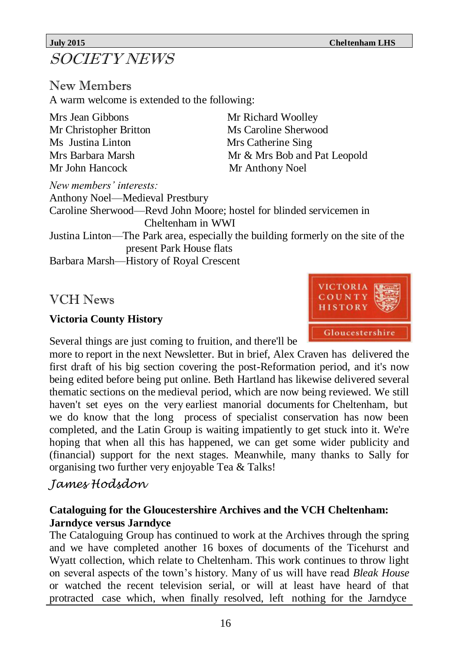## SOCIETY NEWS

New Members A warm welcome is extended to the following:

Mrs Jean Gibbons Mr Richard Woolley Mr Christopher Britton Ms Caroline Sherwood Ms Justina Linton Mrs Catherine Sing Mr John Hancock Mr Anthony Noel

Mrs Barbara Marsh Mr & Mrs Bob and Pat Leopold

*New members' interests:* Anthony Noel—Medieval Prestbury Caroline Sherwood—Revd John Moore; hostel for blinded servicemen in Cheltenham in WWI Justina Linton—The Park area, especially the building formerly on the site of the

present Park House flats

Barbara Marsh—History of Royal Crescent

VCH News

### **Victoria County History**

Several things are just coming to fruition, and there'll be

more to report in the next Newsletter. But in brief, Alex Craven has delivered the first draft of his big section covering the post-Reformation period, and it's now being edited before being put online. Beth Hartland has likewise delivered several thematic sections on the medieval period, which are now being reviewed. We still haven't set eyes on the very earliest manorial documents for Cheltenham, but we do know that the long process of specialist conservation has now been completed, and the Latin Group is waiting impatiently to get stuck into it. We're hoping that when all this has happened, we can get some wider publicity and (financial) support for the next stages. Meanwhile, many thanks to Sally for organising two further very enjoyable Tea & Talks!

### *James Hodsdon*

#### **Cataloguing for the Gloucestershire Archives and the VCH Cheltenham: Jarndyce versus Jarndyce**

The Cataloguing Group has continued to work at the Archives through the spring and we have completed another 16 boxes of documents of the Ticehurst and Wyatt collection, which relate to Cheltenham. This work continues to throw light on several aspects of the town's history. Many of us will have read *Bleak House* or watched the recent television serial, or will at least have heard of that protracted case which, when finally resolved, left nothing for the Jarndyce

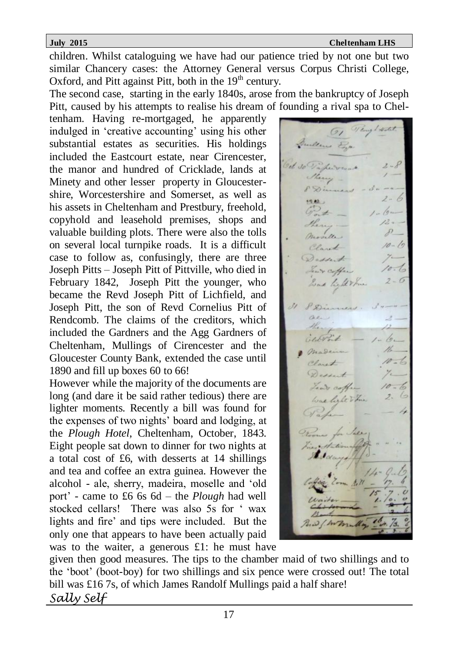children. Whilst cataloguing we have had our patience tried by not one but two similar Chancery cases: the Attorney General versus Corpus Christi College, Oxford, and Pitt against Pitt, both in the  $19<sup>th</sup>$  century.

The second case, starting in the early 1840s, arose from the bankruptcy of Joseph Pitt, caused by his attempts to realise his dream of founding a rival spa to Chel-

tenham. Having re-mortgaged, he apparently indulged in 'creative accounting' using his other substantial estates as securities. His holdings included the Eastcourt estate, near Cirencester, the manor and hundred of Cricklade, lands at Minety and other lesser property in Gloucestershire, Worcestershire and Somerset, as well as his assets in Cheltenham and Prestbury, freehold, copyhold and leasehold premises, shops and valuable building plots. There were also the tolls on several local turnpike roads. It is a difficult case to follow as, confusingly, there are three Joseph Pitts – Joseph Pitt of Pittville, who died in February 1842, Joseph Pitt the younger, who became the Revd Joseph Pitt of Lichfield, and Joseph Pitt, the son of Revd Cornelius Pitt of Rendcomb. The claims of the creditors, which included the Gardners and the Agg Gardners of Cheltenham, Mullings of Cirencester and the Gloucester County Bank, extended the case until 1890 and fill up boxes 60 to 66!

However while the majority of the documents are long (and dare it be said rather tedious) there are lighter moments. Recently a bill was found for the expenses of two nights' board and lodging, at the *Plough Hotel*, Cheltenham, October, 1843. Eight people sat down to dinner for two nights at a total cost of £6, with desserts at 14 shillings and tea and coffee an extra guinea. However the alcohol - ale, sherry, madeira, moselle and 'old port' - came to £6 6s 6d – the *Plough* had well stocked cellars! There was also 5s for ' wax lights and fire' and tips were included. But the only one that appears to have been actually paid was to the waiter, a generous £1: he must have

 $\rho_{\ell}$  1 an't coffee a. love light the

given then good measures. The tips to the chamber maid of two shillings and to the 'boot' (boot-boy) for two shillings and six pence were crossed out! The total bill was £16 7s, of which James Randolf Mullings paid a half share! *Sally Self*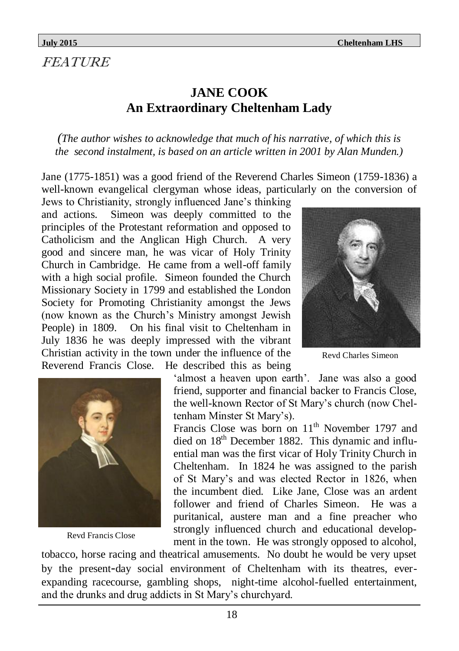### FEATURE

### **JANE COOK An Extraordinary Cheltenham Lady**

*(The author wishes to acknowledge that much of his narrative, of which this is the second instalment, is based on an article written in 2001 by Alan Munden.)*

Jane (1775-1851) was a good friend of the Reverend Charles Simeon (1759-1836) a well-known evangelical clergyman whose ideas, particularly on the conversion of

Jews to Christianity, strongly influenced Jane's thinking and actions. Simeon was deeply committed to the principles of the Protestant reformation and opposed to Catholicism and the Anglican High Church. A very good and sincere man, he was vicar of Holy Trinity Church in Cambridge. He came from a well-off family with a high social profile. Simeon founded the Church Missionary Society in 1799 and established the London Society for Promoting Christianity amongst the Jews (now known as the Church's Ministry amongst Jewish People) in 1809. On his final visit to Cheltenham in July 1836 he was deeply impressed with the vibrant Christian activity in the town under the influence of the Reverend Francis Close. He described this as being



Revd Charles Simeon



Revd Francis Close

'almost a heaven upon earth'. Jane was also a good friend, supporter and financial backer to Francis Close, the well-known Rector of St Mary's church (now Cheltenham Minster St Mary's).

Francis Close was born on  $11<sup>th</sup>$  November 1797 and died on  $18<sup>th</sup>$  December 1882. This dynamic and influential man was the first vicar of Holy Trinity Church in Cheltenham. In 1824 he was assigned to the parish of St Mary's and was elected Rector in 1826, when the incumbent died. Like Jane, Close was an ardent follower and friend of Charles Simeon. He was a puritanical, austere man and a fine preacher who strongly influenced church and educational development in the town. He was strongly opposed to alcohol,

tobacco, horse racing and theatrical amusements. No doubt he would be very upset by the present-day social environment of Cheltenham with its theatres, everexpanding racecourse, gambling shops, night-time alcohol-fuelled entertainment, and the drunks and drug addicts in St Mary's churchyard.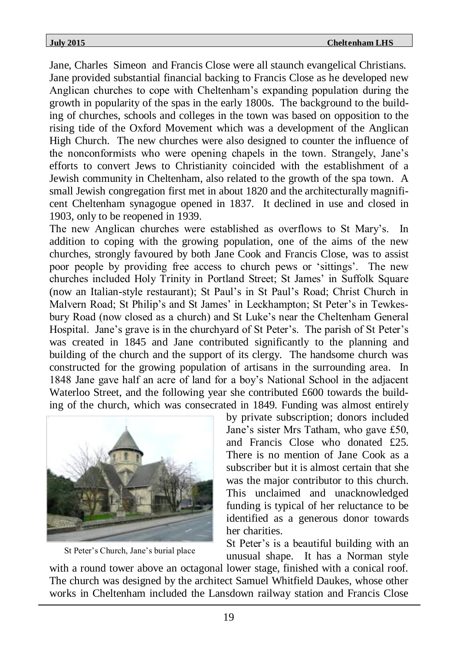Jane, Charles Simeon and Francis Close were all staunch evangelical Christians. Jane provided substantial financial backing to Francis Close as he developed new Anglican churches to cope with Cheltenham's expanding population during the growth in popularity of the spas in the early 1800s. The background to the building of churches, schools and colleges in the town was based on opposition to the rising tide of the Oxford Movement which was a development of the Anglican High Church. The new churches were also designed to counter the influence of the nonconformists who were opening chapels in the town. Strangely, Jane's efforts to convert Jews to Christianity coincided with the establishment of a Jewish community in Cheltenham, also related to the growth of the spa town. A small Jewish congregation first met in about 1820 and the architecturally magnificent Cheltenham synagogue opened in 1837. It declined in use and closed in 1903, only to be reopened in 1939.

The new Anglican churches were established as overflows to St Mary's. In addition to coping with the growing population, one of the aims of the new churches, strongly favoured by both Jane Cook and Francis Close, was to assist poor people by providing free access to church pews or 'sittings'. The new churches included Holy Trinity in Portland Street; St James' in Suffolk Square (now an Italian-style restaurant); St Paul's in St Paul's Road; Christ Church in Malvern Road; St Philip's and St James' in Leckhampton; St Peter's in Tewkesbury Road (now closed as a church) and St Luke's near the Cheltenham General Hospital. Jane's grave is in the churchyard of St Peter's. The parish of St Peter's was created in 1845 and Jane contributed significantly to the planning and building of the church and the support of its clergy. The handsome church was constructed for the growing population of artisans in the surrounding area. In 1848 Jane gave half an acre of land for a boy's National School in the adjacent Waterloo Street, and the following year she contributed £600 towards the building of the church, which was consecrated in 1849. Funding was almost entirely



St Peter's Church, Jane's burial place

by private subscription; donors included Jane's sister Mrs Tatham, who gave £50, and Francis Close who donated £25. There is no mention of Jane Cook as a subscriber but it is almost certain that she was the major contributor to this church. This unclaimed and unacknowledged funding is typical of her reluctance to be identified as a generous donor towards her charities.

St Peter's is a beautiful building with an unusual shape. It has a Norman style

with a round tower above an octagonal lower stage, finished with a conical roof. The church was designed by the architect Samuel Whitfield Daukes, whose other works in Cheltenham included the Lansdown railway station and Francis Close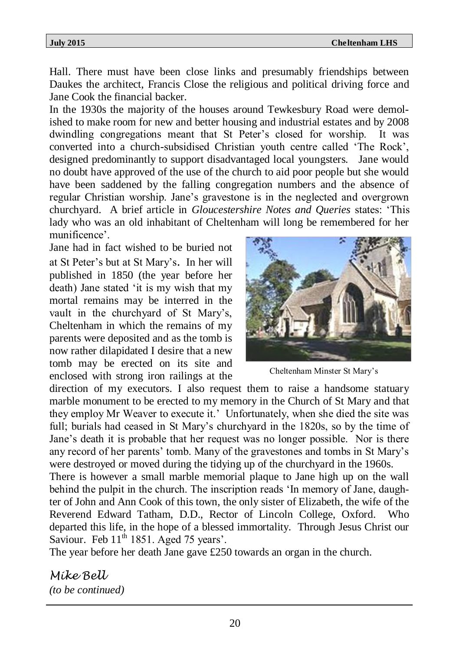Hall. There must have been close links and presumably friendships between Daukes the architect, Francis Close the religious and political driving force and Jane Cook the financial backer.

In the 1930s the majority of the houses around Tewkesbury Road were demolished to make room for new and better housing and industrial estates and by 2008 dwindling congregations meant that St Peter's closed for worship. It was converted into a church-subsidised Christian youth centre called 'The Rock', designed predominantly to support disadvantaged local youngsters. Jane would no doubt have approved of the use of the church to aid poor people but she would have been saddened by the falling congregation numbers and the absence of regular Christian worship. Jane's gravestone is in the neglected and overgrown churchyard. A brief article in *Gloucestershire Notes and Queries* states: 'This lady who was an old inhabitant of Cheltenham will long be remembered for her munificence'.

Jane had in fact wished to be buried not at St Peter's but at St Mary's. In her will published in 1850 (the year before her death) Jane stated 'it is my wish that my mortal remains may be interred in the vault in the churchyard of St Mary's, Cheltenham in which the remains of my parents were deposited and as the tomb is now rather dilapidated I desire that a new tomb may be erected on its site and enclosed with strong iron railings at the



Cheltenham Minster St Mary's

direction of my executors. I also request them to raise a handsome statuary marble monument to be erected to my memory in the Church of St Mary and that they employ Mr Weaver to execute it.' Unfortunately, when she died the site was full; burials had ceased in St Mary's churchyard in the 1820s, so by the time of Jane's death it is probable that her request was no longer possible. Nor is there any record of her parents' tomb. Many of the gravestones and tombs in St Mary's were destroyed or moved during the tidying up of the churchyard in the 1960s.

There is however a small marble memorial plaque to Jane high up on the wall behind the pulpit in the church. The inscription reads 'In memory of Jane, daughter of John and Ann Cook of this town, the only sister of Elizabeth, the wife of the Reverend Edward Tatham, D.D., Rector of Lincoln College, Oxford. Who departed this life, in the hope of a blessed immortality. Through Jesus Christ our Saviour. Feb  $11<sup>th</sup> 1851$ . Aged 75 years'.

The year before her death Jane gave £250 towards an organ in the church.

*Mike Bell (to be continued)*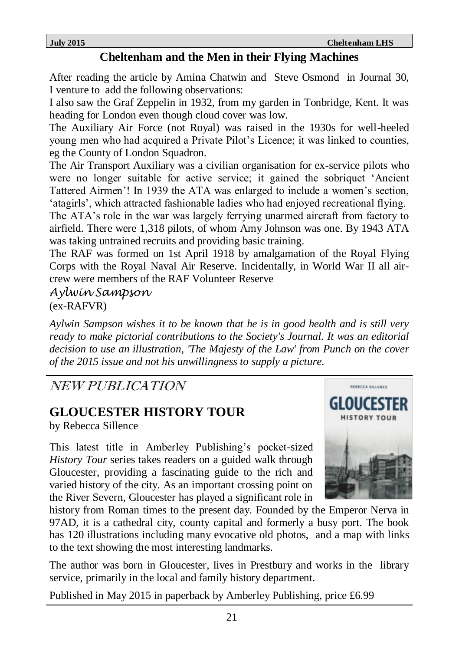### **Cheltenham and the Men in their Flying Machines**

After reading the article by Amina Chatwin and Steve Osmond in Journal 30, I venture to add the following observations:

I also saw the Graf Zeppelin in 1932, from my garden in Tonbridge, Kent. It was heading for London even though cloud cover was low.

The Auxiliary Air Force (not Royal) was raised in the 1930s for well-heeled young men who had acquired a Private Pilot's Licence; it was linked to counties, eg the County of London Squadron.

The Air Transport Auxiliary was a civilian organisation for ex-service pilots who were no longer suitable for active service; it gained the sobriquet 'Ancient Tattered Airmen'! In 1939 the ATA was enlarged to include a women's section, 'atagirls', which attracted fashionable ladies who had enjoyed recreational flying.

The ATA's role in the war was largely ferrying unarmed aircraft from factory to airfield. There were 1,318 pilots, of whom Amy Johnson was one. By 1943 ATA was taking untrained recruits and providing basic training.

The RAF was formed on 1st April 1918 by amalgamation of the Royal Flying Corps with the Royal Naval Air Reserve. Incidentally, in World War II all aircrew were members of the RAF Volunteer Reserve

*Aylwin Sampson*

(ex-RAFVR)

*Aylwin Sampson wishes it to be known that he is in good health and is still very ready to make pictorial contributions to the Society's Journal. It was an editorial decision to use an illustration, 'The Majesty of the Law' from Punch on the cover of the 2015 issue and not his unwillingness to supply a picture.*

NEW PUBLICATION

### **GLOUCESTER HISTORY TOUR**

by Rebecca Sillence

This latest title in Amberley Publishing's pocket-sized *History Tour* series takes readers on a guided walk through Gloucester, providing a fascinating guide to the rich and varied history of the city. As an important crossing point on the River Severn, Gloucester has played a significant role in



history from Roman times to the present day. Founded by the Emperor Nerva in 97AD, it is a cathedral city, county capital and formerly a busy port. The book has 120 illustrations including many evocative old photos, and a map with links to the text showing the most interesting landmarks.

The author was born in Gloucester, lives in Prestbury and works in the library service, primarily in the local and family history department.

Published in May 2015 in paperback by Amberley Publishing, price £6.99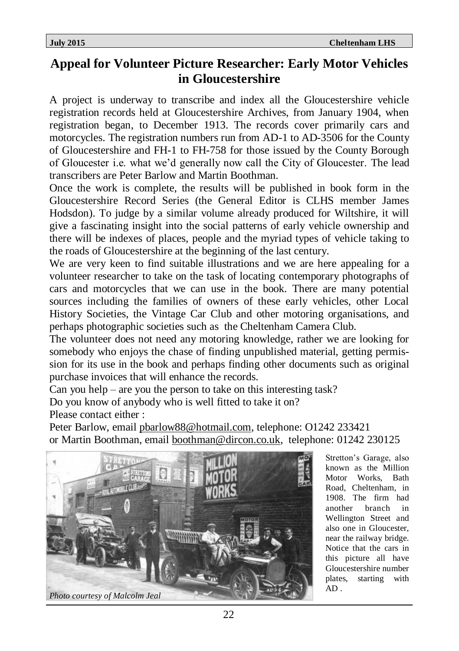### **Appeal for Volunteer Picture Researcher: Early Motor Vehicles in Gloucestershire**

A project is underway to transcribe and index all the Gloucestershire vehicle registration records held at Gloucestershire Archives, from January 1904, when registration began, to December 1913. The records cover primarily cars and motorcycles. The registration numbers run from AD-1 to AD-3506 for the County of Gloucestershire and FH-1 to FH-758 for those issued by the County Borough of Gloucester i.e. what we'd generally now call the City of Gloucester. The lead transcribers are Peter Barlow and Martin Boothman.

Once the work is complete, the results will be published in book form in the Gloucestershire Record Series (the General Editor is CLHS member James Hodsdon). To judge by a similar volume already produced for Wiltshire, it will give a fascinating insight into the social patterns of early vehicle ownership and there will be indexes of places, people and the myriad types of vehicle taking to the roads of Gloucestershire at the beginning of the last century.

We are very keen to find suitable illustrations and we are here appealing for a volunteer researcher to take on the task of locating contemporary photographs of cars and motorcycles that we can use in the book. There are many potential sources including the families of owners of these early vehicles, other Local History Societies, the Vintage Car Club and other motoring organisations, and perhaps photographic societies such as the Cheltenham Camera Club.

The volunteer does not need any motoring knowledge, rather we are looking for somebody who enjoys the chase of finding unpublished material, getting permission for its use in the book and perhaps finding other documents such as original purchase invoices that will enhance the records.

Can you help – are you the person to take on this interesting task?

Do you know of anybody who is well fitted to take it on?

Please contact either :

Peter Barlow, email [pbarlow88@hotmail.com,](mailto:pbarlow88@hotmail.com) telephone: O1242 233421 or Martin Boothman, email [boothman@dircon.co.uk,](mailto:boothman@dircon.co.uk) telephone: 01242 230125



Stretton's Garage, also known as the Million Motor Works, Bath Road, Cheltenham, in 1908. The firm had another branch in Wellington Street and also one in Gloucester, near the railway bridge. Notice that the cars in this picture all have Gloucestershire number plates, starting with  $AD$ .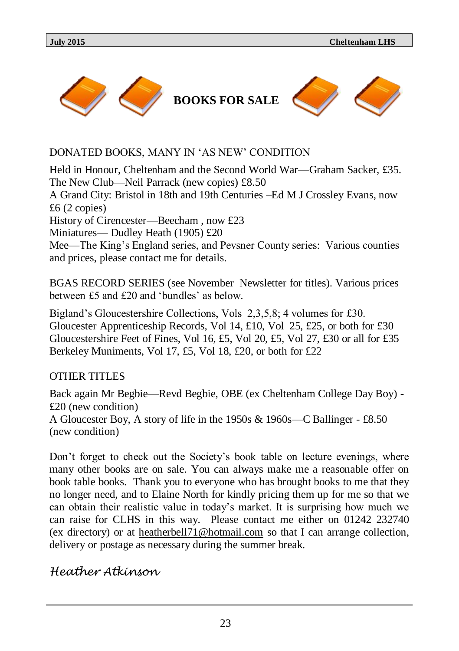

#### DONATED BOOKS, MANY IN 'AS NEW' CONDITION

Held in Honour, Cheltenham and the Second World War—Graham Sacker, £35. The New Club—Neil Parrack (new copies) £8.50 A Grand City: Bristol in 18th and 19th Centuries –Ed M J Crossley Evans, now £6 (2 copies) History of Cirencester—Beecham , now £23 Miniatures— Dudley Heath (1905) £20 Mee—The King's England series, and Pevsner County series: Various counties and prices, please contact me for details.

BGAS RECORD SERIES (see November Newsletter for titles). Various prices between £5 and £20 and 'bundles' as below.

Bigland's Gloucestershire Collections, Vols 2,3,5,8; 4 volumes for £30. Gloucester Apprenticeship Records, Vol 14, £10, Vol 25, £25, or both for £30 Gloucestershire Feet of Fines, Vol 16, £5, Vol 20, £5, Vol 27, £30 or all for £35 Berkeley Muniments, Vol 17, £5, Vol 18, £20, or both for £22

#### OTHER TITLES

Back again Mr Begbie—Revd Begbie, OBE (ex Cheltenham College Day Boy) - £20 (new condition)

A Gloucester Boy, A story of life in the 1950s & 1960s—C Ballinger - £8.50 (new condition)

Don't forget to check out the Society's book table on lecture evenings, where many other books are on sale. You can always make me a reasonable offer on book table books. Thank you to everyone who has brought books to me that they no longer need, and to Elaine North for kindly pricing them up for me so that we can obtain their realistic value in today's market. It is surprising how much we can raise for CLHS in this way. Please contact me either on 01242 232740 (ex directory) or at [heatherbell71@hotmail.com](mailto:heatherbell71@hotmail.com) so that I can arrange collection, delivery or postage as necessary during the summer break.

#### *Heather Atkinson*